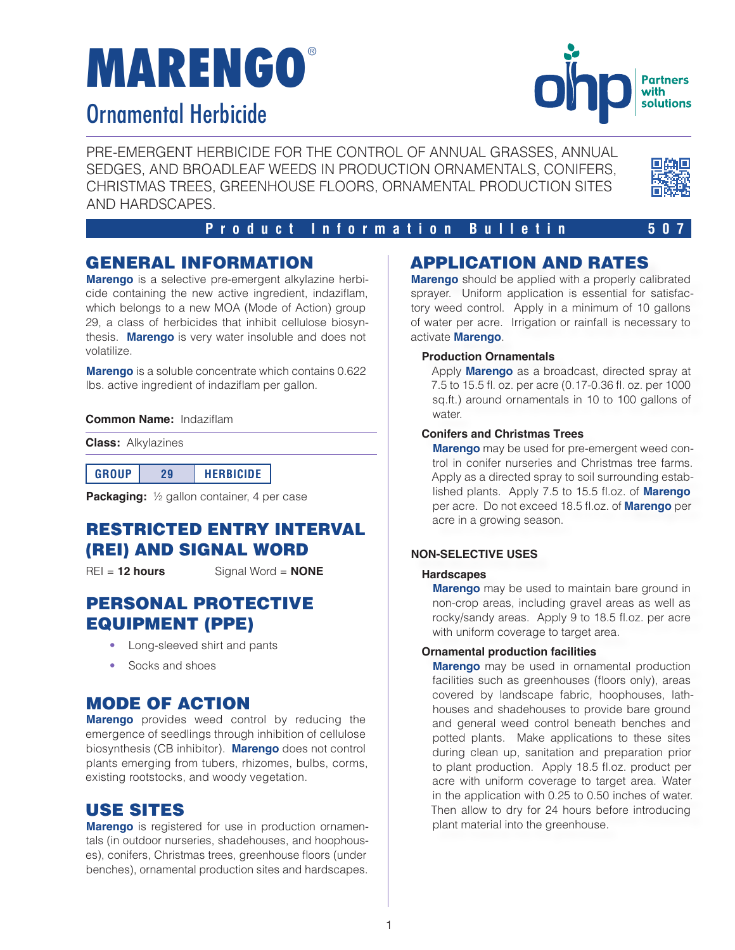# **MARENGO**®

## Ornamental Herbicide



PRE-EMERGENT HERBICIDE FOR THE CONTROL OF ANNUAL GRASSES, ANNUAL SEDGES, AND BROADLEAF WEEDS IN PRODUCTION ORNAMENTALS, CONIFERS, CHRISTMAS TREES, GREENHOUSE FLOORS, ORNAMENTAL PRODUCTION SITES AND HARDSCAPES.



#### **Product Information Bulletin 507**

## GENERAL INFORMATION

**Marengo** is a selective pre-emergent alkylazine herbicide containing the new active ingredient, indaziflam, which belongs to a new MOA (Mode of Action) group 29, a class of herbicides that inhibit cellulose biosynthesis. **Marengo** is very water insoluble and does not volatilize.

**Marengo** is a soluble concentrate which contains 0.622 lbs. active ingredient of indaziflam per gallon.

#### **Common Name:** Indaziflam

**Class:** Alkylazines

| <b>GROUP</b> | <b>HERBICIDE</b> |
|--------------|------------------|
|--------------|------------------|

**Packaging:** 1/2 gallon container, 4 per case

## RESTRICTED ENTRY INTERVAL (REI) AND SIGNAL WORD

REI = **12 hours** Signal Word = **NONE**

### PERSONAL PROTECTIVE EQUIPMENT (PPE)

- Long-sleeved shirt and pants
- Socks and shoes

## MODE OF ACTION

**Marengo** provides weed control by reducing the emergence of seedlings through inhibition of cellulose biosynthesis (CB inhibitor). **Marengo** does not control plants emerging from tubers, rhizomes, bulbs, corms, existing rootstocks, and woody vegetation.

## USE SITES

**Marengo** is registered for use in production ornamentals (in outdoor nurseries, shadehouses, and hoophouses), conifers, Christmas trees, greenhouse floors (under benches), ornamental production sites and hardscapes.

## APPLICATION AND RATES

**Marengo** should be applied with a properly calibrated sprayer. Uniform application is essential for satisfactory weed control. Apply in a minimum of 10 gallons of water per acre. Irrigation or rainfall is necessary to activate **Marengo**.

#### **Production Ornamentals**

Apply **Marengo** as a broadcast, directed spray at 7.5 to 15.5 fl. oz. per acre (0.17-0.36 fl. oz. per 1000 sq.ft.) around ornamentals in 10 to 100 gallons of water.

#### **Conifers and Christmas Trees**

**Marengo** may be used for pre-emergent weed control in conifer nurseries and Christmas tree farms. Apply as a directed spray to soil surrounding established plants. Apply 7.5 to 15.5 fl.oz. of **Marengo** per acre. Do not exceed 18.5 fl.oz. of **Marengo** per acre in a growing season.

#### **NON-SELECTIVE USES**

#### **Hardscapes**

**Marengo** may be used to maintain bare ground in non-crop areas, including gravel areas as well as rocky/sandy areas. Apply 9 to 18.5 fl.oz. per acre with uniform coverage to target area.

#### **Ornamental production facilities**

**Marengo** may be used in ornamental production facilities such as greenhouses (floors only), areas covered by landscape fabric, hoophouses, lathhouses and shadehouses to provide bare ground and general weed control beneath benches and potted plants. Make applications to these sites during clean up, sanitation and preparation prior to plant production. Apply 18.5 fl.oz. product per acre with uniform coverage to target area. Water in the application with 0.25 to 0.50 inches of water. Then allow to dry for 24 hours before introducing plant material into the greenhouse.